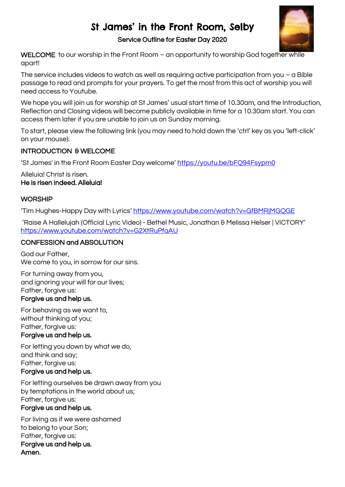# St James' in the Front Room, Selby



### Service Outline for Easter Day 2020

WELCOME to our worship in the Front Room – an opportunity to worship God together while apart!

The service includes videos to watch as well as requiring active participation from you  $-\alpha$  Bible passage to read and prompts for your prayers. To get the most from this act of worship you will need access to Youtube.

We hope you will join us for worship at St James' usual start time of 10.30am, and the Introduction, Reflection and Closing videos will become publicly available in time for a 10.30am start. You can access them later if you are unable to join us on Sunday morning.

To start, please view the following link (you may need to hold down the 'ctrl' key as you 'left-click' on your mouse):

# INTRODUCTION & WELCOME

'St James' in the Front Room Easter Day welcome' <https://youtu.be/bFQ94Fsypm0>

Alleluia! Christ is risen. He is risen indeed. Alleluia!

# **WORSHIP**

'Tim Hughes-Happy Day with Lyrics' <https://www.youtube.com/watch?v=GfBMRjMGQGE>

'Raise A Hallelujah (Official Lyric Video) - Bethel Music, Jonathan & Melissa Helser | VICTORY' <https://www.youtube.com/watch?v=G2XtRuPfaAU>

## CONFESSION and ABSOLUTION

God our Father, We come to you, in sorrow for our sins.

For turning away from you, and ignoring your will for our lives; Father, forgive us:

# Forgive us and help us.

For behaving as we want to, without thinking of you; Father, forgive us: Forgive us and help us.

For letting you down by what we do, and think and say; Father, forgive us: Forgive us and help us.

For letting ourselves be drawn away from you by temptations in the world about us; Father, forgive us:

# Forgive us and help us.

For living as if we were ashamed to belong to your Son; Father, forgive us: Forgive us and help us. Amen.